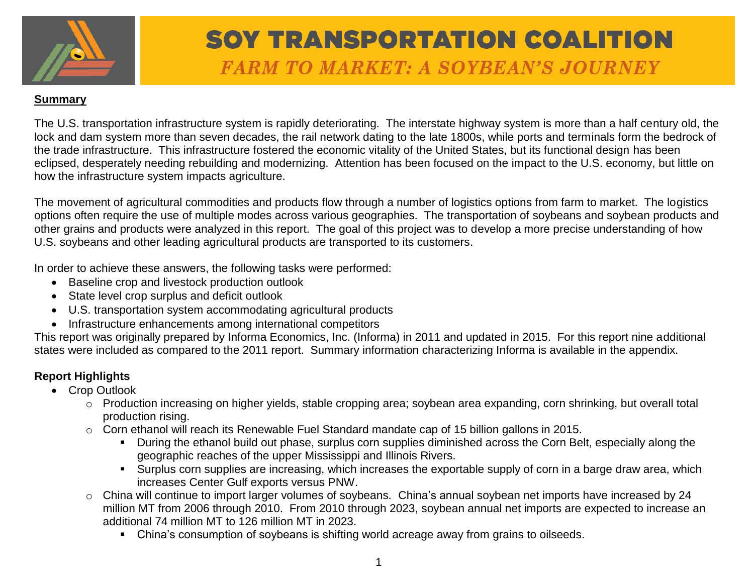

#### **Summary**

The U.S. transportation infrastructure system is rapidly deteriorating. The interstate highway system is more than a half century old, the lock and dam system more than seven decades, the rail network dating to the late 1800s, while ports and terminals form the bedrock of the trade infrastructure. This infrastructure fostered the economic vitality of the United States, but its functional design has been eclipsed, desperately needing rebuilding and modernizing. Attention has been focused on the impact to the U.S. economy, but little on how the infrastructure system impacts agriculture.

The movement of agricultural commodities and products flow through a number of logistics options from farm to market. The logistics options often require the use of multiple modes across various geographies. The transportation of soybeans and soybean products and other grains and products were analyzed in this report. The goal of this project was to develop a more precise understanding of how U.S. soybeans and other leading agricultural products are transported to its customers.

In order to achieve these answers, the following tasks were performed:

- Baseline crop and livestock production outlook
- State level crop surplus and deficit outlook
- U.S. transportation system accommodating agricultural products
- Infrastructure enhancements among international competitors

This report was originally prepared by Informa Economics, Inc. (Informa) in 2011 and updated in 2015. For this report nine additional states were included as compared to the 2011 report. Summary information characterizing Informa is available in the appendix.

### **Report Highlights**

- Crop Outlook
	- o Production increasing on higher yields, stable cropping area; soybean area expanding, corn shrinking, but overall total production rising.
	- o Corn ethanol will reach its Renewable Fuel Standard mandate cap of 15 billion gallons in 2015.
		- During the ethanol build out phase, surplus corn supplies diminished across the Corn Belt, especially along the geographic reaches of the upper Mississippi and Illinois Rivers.
		- Surplus corn supplies are increasing, which increases the exportable supply of corn in a barge draw area, which increases Center Gulf exports versus PNW.
	- o China will continue to import larger volumes of soybeans. China's annual soybean net imports have increased by 24 million MT from 2006 through 2010. From 2010 through 2023, soybean annual net imports are expected to increase an additional 74 million MT to 126 million MT in 2023.
		- China's consumption of soybeans is shifting world acreage away from grains to oilseeds.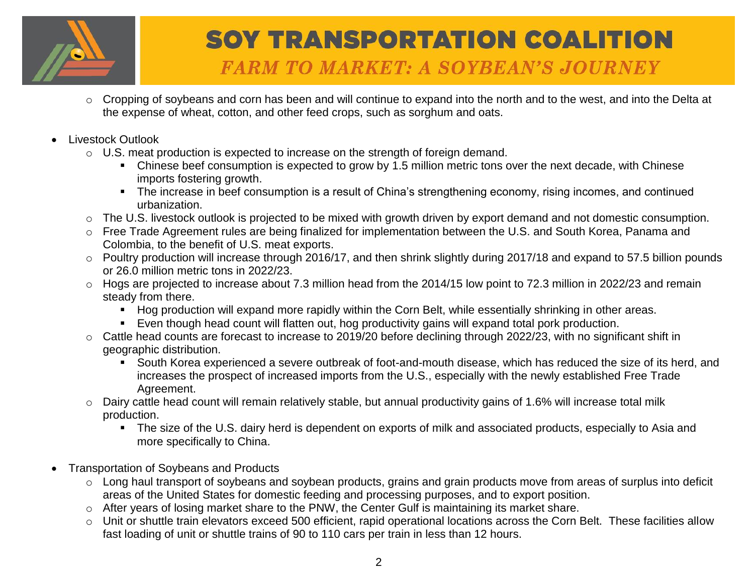

- o Cropping of soybeans and corn has been and will continue to expand into the north and to the west, and into the Delta at the expense of wheat, cotton, and other feed crops, such as sorghum and oats.
- Livestock Outlook
	- o U.S. meat production is expected to increase on the strength of foreign demand.
		- Chinese beef consumption is expected to grow by 1.5 million metric tons over the next decade, with Chinese imports fostering growth.
		- The increase in beef consumption is a result of China's strengthening economy, rising incomes, and continued urbanization.
	- o The U.S. livestock outlook is projected to be mixed with growth driven by export demand and not domestic consumption.
	- o Free Trade Agreement rules are being finalized for implementation between the U.S. and South Korea, Panama and Colombia, to the benefit of U.S. meat exports.
	- o Poultry production will increase through 2016/17, and then shrink slightly during 2017/18 and expand to 57.5 billion pounds or 26.0 million metric tons in 2022/23.
	- o Hogs are projected to increase about 7.3 million head from the 2014/15 low point to 72.3 million in 2022/23 and remain steady from there.
		- Hog production will expand more rapidly within the Corn Belt, while essentially shrinking in other areas.
		- Even though head count will flatten out, hog productivity gains will expand total pork production.
	- o Cattle head counts are forecast to increase to 2019/20 before declining through 2022/23, with no significant shift in geographic distribution.
		- South Korea experienced a severe outbreak of foot-and-mouth disease, which has reduced the size of its herd, and increases the prospect of increased imports from the U.S., especially with the newly established Free Trade Agreement.
	- o Dairy cattle head count will remain relatively stable, but annual productivity gains of 1.6% will increase total milk production.
		- The size of the U.S. dairy herd is dependent on exports of milk and associated products, especially to Asia and more specifically to China.
- Transportation of Soybeans and Products
	- o Long haul transport of soybeans and soybean products, grains and grain products move from areas of surplus into deficit areas of the United States for domestic feeding and processing purposes, and to export position.
	- o After years of losing market share to the PNW, the Center Gulf is maintaining its market share.
	- o Unit or shuttle train elevators exceed 500 efficient, rapid operational locations across the Corn Belt. These facilities allow fast loading of unit or shuttle trains of 90 to 110 cars per train in less than 12 hours.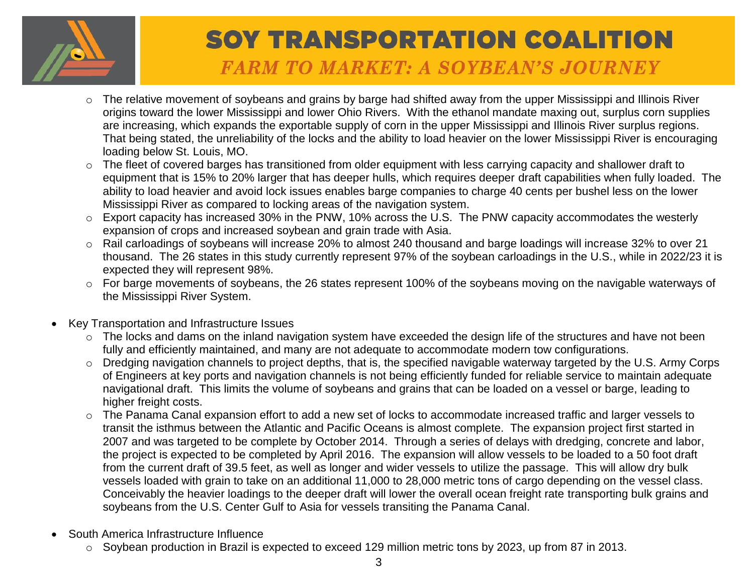

- o The relative movement of soybeans and grains by barge had shifted away from the upper Mississippi and Illinois River origins toward the lower Mississippi and lower Ohio Rivers. With the ethanol mandate maxing out, surplus corn supplies are increasing, which expands the exportable supply of corn in the upper Mississippi and Illinois River surplus regions. That being stated, the unreliability of the locks and the ability to load heavier on the lower Mississippi River is encouraging loading below St. Louis, MO.
- o The fleet of covered barges has transitioned from older equipment with less carrying capacity and shallower draft to equipment that is 15% to 20% larger that has deeper hulls, which requires deeper draft capabilities when fully loaded. The ability to load heavier and avoid lock issues enables barge companies to charge 40 cents per bushel less on the lower Mississippi River as compared to locking areas of the navigation system.
- o Export capacity has increased 30% in the PNW, 10% across the U.S. The PNW capacity accommodates the westerly expansion of crops and increased soybean and grain trade with Asia.
- o Rail carloadings of soybeans will increase 20% to almost 240 thousand and barge loadings will increase 32% to over 21 thousand. The 26 states in this study currently represent 97% of the soybean carloadings in the U.S., while in 2022/23 it is expected they will represent 98%.
- o For barge movements of soybeans, the 26 states represent 100% of the soybeans moving on the navigable waterways of the Mississippi River System.
- Key Transportation and Infrastructure Issues
	- o The locks and dams on the inland navigation system have exceeded the design life of the structures and have not been fully and efficiently maintained, and many are not adequate to accommodate modern tow configurations.
	- $\circ$  Dredging navigation channels to project depths, that is, the specified navigable waterway targeted by the U.S. Army Corps of Engineers at key ports and navigation channels is not being efficiently funded for reliable service to maintain adequate navigational draft. This limits the volume of soybeans and grains that can be loaded on a vessel or barge, leading to higher freight costs.
	- o The Panama Canal expansion effort to add a new set of locks to accommodate increased traffic and larger vessels to transit the isthmus between the Atlantic and Pacific Oceans is almost complete. The expansion project first started in 2007 and was targeted to be complete by October 2014. Through a series of delays with dredging, concrete and labor, the project is expected to be completed by April 2016. The expansion will allow vessels to be loaded to a 50 foot draft from the current draft of 39.5 feet, as well as longer and wider vessels to utilize the passage. This will allow dry bulk vessels loaded with grain to take on an additional 11,000 to 28,000 metric tons of cargo depending on the vessel class. Conceivably the heavier loadings to the deeper draft will lower the overall ocean freight rate transporting bulk grains and soybeans from the U.S. Center Gulf to Asia for vessels transiting the Panama Canal.
- South America Infrastructure Influence
	- o Soybean production in Brazil is expected to exceed 129 million metric tons by 2023, up from 87 in 2013.